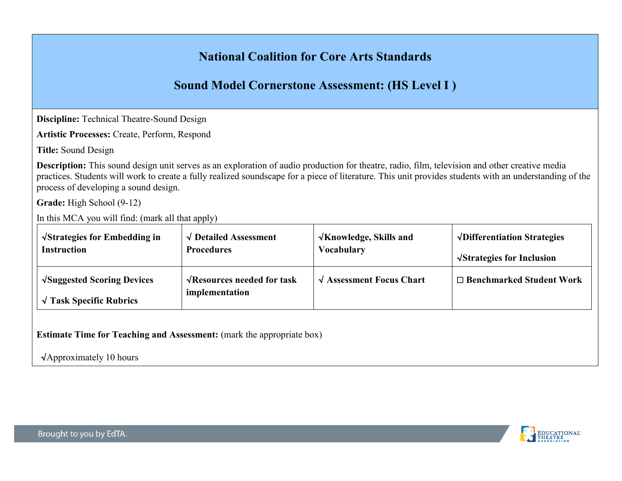# **National Coalition for Core Arts Standards**

# **Sound Model Cornerstone Assessment: (HS Level I )**

**Discipline:** Technical Theatre-Sound Design

**Artistic Processes:** Create, Perform, Respond

**Title:** Sound Design

**Description:** This sound design unit serves as an exploration of audio production for theatre, radio, film, television and other creative media practices. Students will work to create a fully realized soundscape for a piece of literature. This unit provides students with an understanding of the process of developing a sound design.

**Grade:** High School (9-12)

In this MCA you will find: (mark all that apply)

| $\sqrt{\text{Strategies}}$ for Embedding in                                  | $\sqrt{\phantom{a}}$ Detailed Assessment                   | $\sqrt{\text{Knowledge}}$ , Skills and      | $\sqrt{\text{Differentiation Strategies}}$ |
|------------------------------------------------------------------------------|------------------------------------------------------------|---------------------------------------------|--------------------------------------------|
| <b>Instruction</b>                                                           | <b>Procedures</b>                                          | Vocabulary                                  | $\sqrt{\text{Strategies}}$ for Inclusion   |
| $\sqrt{\text{Suggested Scoring Devices}}$<br>$\sqrt{T}$ ask Specific Rubrics | $\sqrt{\text{Resources}$ needed for task<br>implementation | $\sqrt{\phantom{a}}$ Assessment Focus Chart | $\Box$ Benchmarked Student Work            |

**Estimate Time for Teaching and Assessment:** (mark the appropriate box)

√Approximately 10 hours

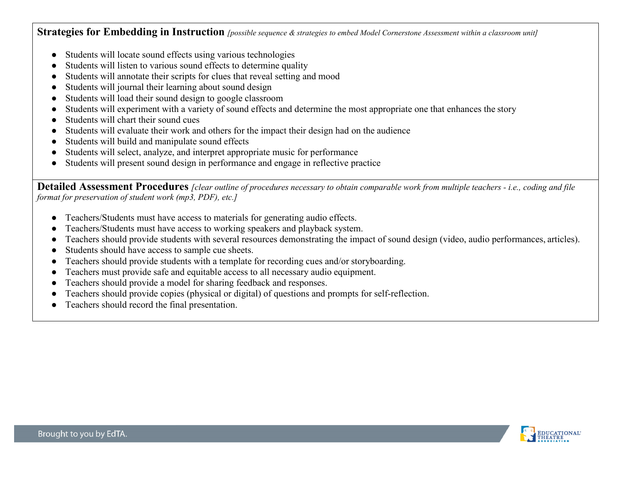**Strategies for Embedding in Instruction** *[possible sequence & strategies to embed Model Cornerstone Assessment within a classroom unit]*

- Students will locate sound effects using various technologies
- Students will listen to various sound effects to determine quality
- Students will annotate their scripts for clues that reveal setting and mood
- Students will journal their learning about sound design
- Students will load their sound design to google classroom
- Students will experiment with a variety of sound effects and determine the most appropriate one that enhances the story
- Students will chart their sound cues
- Students will evaluate their work and others for the impact their design had on the audience
- Students will build and manipulate sound effects
- Students will select, analyze, and interpret appropriate music for performance
- Students will present sound design in performance and engage in reflective practice

**Detailed Assessment Procedures** *[clear outline of procedures necessary to obtain comparable work from multiple teachers - i.e., coding and file format for preservation of student work (mp3, PDF), etc.]*

- Teachers/Students must have access to materials for generating audio effects.
- Teachers/Students must have access to working speakers and playback system.
- Teachers should provide students with several resources demonstrating the impact of sound design (video, audio performances, articles).
- Students should have access to sample cue sheets.
- Teachers should provide students with a template for recording cues and/or storyboarding.
- Teachers must provide safe and equitable access to all necessary audio equipment.
- Teachers should provide a model for sharing feedback and responses.
- Teachers should provide copies (physical or digital) of questions and prompts for self-reflection.
- Teachers should record the final presentation.

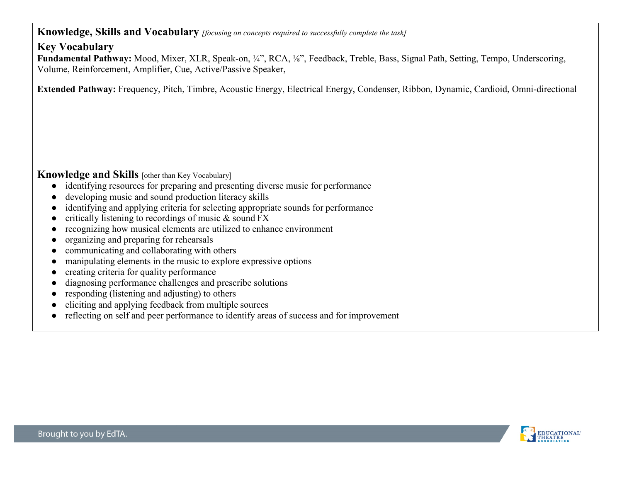### **Knowledge, Skills and Vocabulary** *[focusing on concepts required to successfully complete the task]*

## **Key Vocabulary**

**Fundamental Pathway:** Mood, Mixer, XLR, Speak-on, ¼", RCA, ⅛", Feedback, Treble, Bass, Signal Path, Setting, Tempo, Underscoring, Volume, Reinforcement, Amplifier, Cue, Active/Passive Speaker,

**Extended Pathway:** Frequency, Pitch, Timbre, Acoustic Energy, Electrical Energy, Condenser, Ribbon, Dynamic, Cardioid, Omni-directional

## **Knowledge and Skills** [other than Key Vocabulary]

- identifying resources for preparing and presenting diverse music for performance
- developing music and sound production literacy skills
- identifying and applying criteria for selecting appropriate sounds for performance
- critically listening to recordings of music  $\&$  sound FX
- recognizing how musical elements are utilized to enhance environment
- organizing and preparing for rehearsals
- communicating and collaborating with others
- manipulating elements in the music to explore expressive options
- creating criteria for quality performance
- diagnosing performance challenges and prescribe solutions
- responding (listening and adjusting) to others
- eliciting and applying feedback from multiple sources
- reflecting on self and peer performance to identify areas of success and for improvement

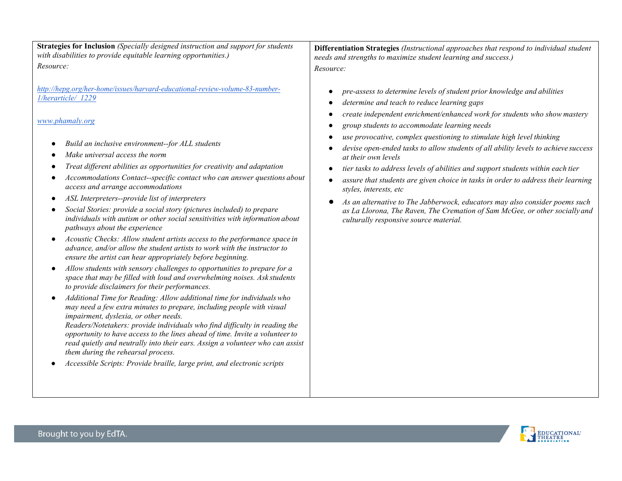**Strategies for Inclusion** *(Specially designed instruction and support for students with disabilities to provide equitable learning opportunities.) Resource:*

*[http://hepg.org/her-home/issues/harvard-educational-review-volume-83-number-](http://hepg.org/her-home/issues/harvard-educational-review-volume-83-number-1/herarticle/_1229)[1/herarticle/\\_1229](http://hepg.org/her-home/issues/harvard-educational-review-volume-83-number-1/herarticle/_1229)*

*[www.phamaly.org](http://www.phamaly.org/)*

- *Build an inclusive environment--for ALL students*
- *Make universal access the norm*
- *Treat different abilities as opportunities for creativity and adaptation*
- *Accommodations Contact--specific contact who can answer questions about access and arrange accommodations*
- *ASL Interpreters--provide list of interpreters*
- *Social Stories: provide a social story (pictures included) to prepare individuals with autism or other social sensitivities with information about pathways about the experience*
- *Acoustic Checks: Allow student artists access to the performance space in advance, and/or allow the student artists to work with the instructor to ensure the artist can hear appropriately before beginning.*
- *Allow students with sensory challenges to opportunities to prepare for a space that may be filled with loud and overwhelming noises. Ask students to provide disclaimers for their performances.*
- *Additional Time for Reading: Allow additional time for individualswho may need a few extra minutes to prepare, including people with visual impairment, dyslexia, or other needs.*

*Readers/Notetakers: provide individuals who find difficulty in reading the opportunity to have access to the lines ahead of time. Invite a volunteerto read quietly and neutrally into their ears. Assign a volunteer who can assist them during the rehearsal process.*

● *Accessible Scripts: Provide braille, large print, and electronic scripts*

**Differentiation Strategies** *(Instructional approaches that respond to individual student needs and strengths to maximize student learning and success.) Resource:*

- *pre-assess to determine levels of student prior knowledge and abilities*
- *determine and teach to reduce learning gaps*
- *create independent enrichment/enhanced work for students who show mastery*
- *group students to accommodate learning needs*
- *use provocative, complex questioning to stimulate high level thinking*
- *devise open-ended tasks to allow students of all ability levels to achieve success at their own levels*
- *tier tasks to address levels of abilities and support students within each tier*
- *assure that students are given choice in tasks in order to address their learning styles, interests, etc*
- As an alternative to The Jabberwock, educators may also consider poems such *as La Llorona, The Raven, The Cremation of Sam McGee, or other socially and culturally responsive source material.*

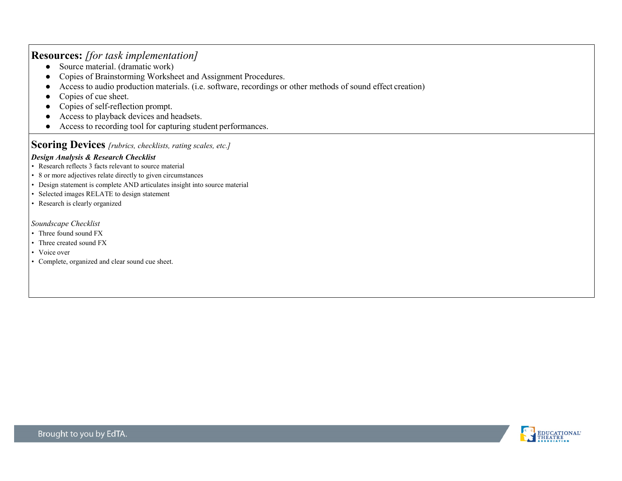### **Resources:** *[for task implementation]*

- $\bullet$  Source material. (dramatic work)
- Copies of Brainstorming Worksheet and Assignment Procedures.
- Access to audio production materials. (i.e. software, recordings or other methods of sound effect creation)
- Copies of cue sheet.
- Copies of self-reflection prompt.
- Access to playback devices and headsets.
- Access to recording tool for capturing student performances.

## **Scoring Devices** *[rubrics, checklists, rating scales, etc.]*

#### *Design Analysis & Research Checklist*

- Research reflects 3 facts relevant to source material
- 8 or more adjectives relate directly to given circumstances
- Design statement is complete AND articulates insight into source material
- Selected images RELATE to design statement
- Research is clearly organized

#### *Soundscape Checklist*

- Three found sound FX
- Three created sound FX
- Voice over
- Complete, organized and clear sound cue sheet.

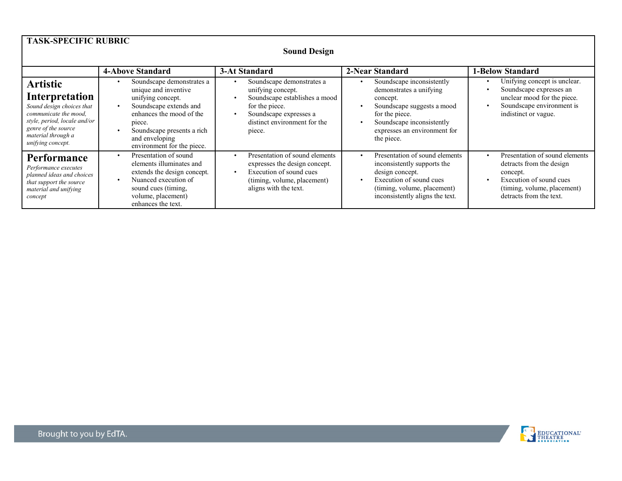| <b>TASK-SPECIFIC RUBRIC</b><br><b>Sound Design</b>                                                                                                                                        |                                                                                                                                                                                                                      |                                                                                                                                                                       |                                                                                                                                                                                                                       |                                                                                                                                                                          |  |
|-------------------------------------------------------------------------------------------------------------------------------------------------------------------------------------------|----------------------------------------------------------------------------------------------------------------------------------------------------------------------------------------------------------------------|-----------------------------------------------------------------------------------------------------------------------------------------------------------------------|-----------------------------------------------------------------------------------------------------------------------------------------------------------------------------------------------------------------------|--------------------------------------------------------------------------------------------------------------------------------------------------------------------------|--|
|                                                                                                                                                                                           | <b>4-Above Standard</b>                                                                                                                                                                                              | 3-At Standard                                                                                                                                                         | 2-Near Standard                                                                                                                                                                                                       | <b>1-Below Standard</b>                                                                                                                                                  |  |
| <b>Artistic</b><br>Interpretation<br>Sound design choices that<br>communicate the mood.<br>style, period, locale and/or<br>genre of the source<br>material through a<br>unifying concept. | Soundscape demonstrates a<br>unique and inventive<br>unifying concept.<br>Soundscape extends and<br>enhances the mood of the<br>piece.<br>Soundscape presents a rich<br>and enveloping<br>environment for the piece. | Soundscape demonstrates a<br>unifying concept.<br>Soundscape establishes a mood<br>for the piece.<br>Soundscape expresses a<br>distinct environment for the<br>piece. | Soundscape inconsistently<br>demonstrates a unifying<br>concept.<br>Soundscape suggests a mood<br>$\bullet$<br>for the piece.<br>Soundscape inconsistently<br>$\bullet$<br>expresses an environment for<br>the piece. | Unifying concept is unclear.<br>Soundscape expresses an<br>unclear mood for the piece.<br>Soundscape environment is<br>indistinct or vague.                              |  |
| <b>Performance</b><br>Performance executes<br>planned ideas and choices<br>that support the source<br>material and unifying<br>concept                                                    | Presentation of sound<br>elements illuminates and<br>extends the design concept.<br>Nuanced execution of<br>sound cues (timing,<br>volume, placement)<br>enhances the text.                                          | Presentation of sound elements<br>expresses the design concept.<br>Execution of sound cues<br>(timing, volume, placement)<br>aligns with the text.                    | Presentation of sound elements<br>$\bullet$<br>inconsistently supports the<br>design concept.<br>Execution of sound cues<br>$\bullet$<br>(timing, volume, placement)<br>inconsistently aligns the text.               | Presentation of sound elements<br>$\bullet$<br>detracts from the design<br>concept.<br>Execution of sound cues<br>(timing, volume, placement)<br>detracts from the text. |  |

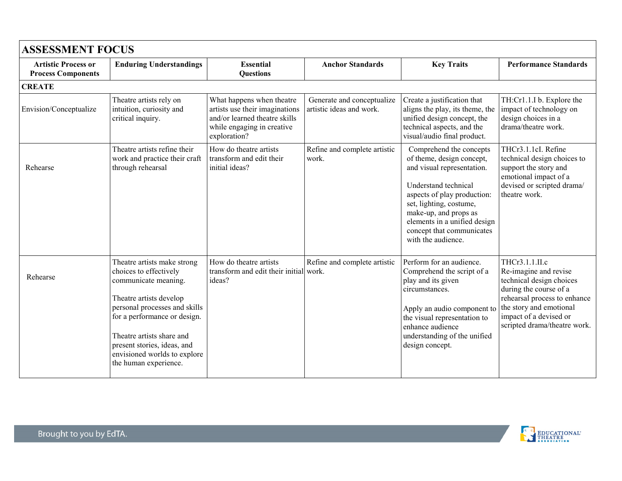| <b>ASSESSMENT FOCUS</b>                                 |                                                                                                                                                                                                                                                                                                |                                                                                                                                            |                                                        |                                                                                                                                                                                                                                                                                  |                                                                                                                                                                                                                    |
|---------------------------------------------------------|------------------------------------------------------------------------------------------------------------------------------------------------------------------------------------------------------------------------------------------------------------------------------------------------|--------------------------------------------------------------------------------------------------------------------------------------------|--------------------------------------------------------|----------------------------------------------------------------------------------------------------------------------------------------------------------------------------------------------------------------------------------------------------------------------------------|--------------------------------------------------------------------------------------------------------------------------------------------------------------------------------------------------------------------|
| <b>Artistic Process or</b><br><b>Process Components</b> | <b>Enduring Understandings</b>                                                                                                                                                                                                                                                                 | <b>Essential</b><br><b>Questions</b>                                                                                                       | <b>Anchor Standards</b>                                | <b>Key Traits</b>                                                                                                                                                                                                                                                                | <b>Performance Standards</b>                                                                                                                                                                                       |
| <b>CREATE</b>                                           |                                                                                                                                                                                                                                                                                                |                                                                                                                                            |                                                        |                                                                                                                                                                                                                                                                                  |                                                                                                                                                                                                                    |
| Envision/Conceptualize                                  | Theatre artists rely on<br>intuition, curiosity and<br>critical inquiry.                                                                                                                                                                                                                       | What happens when theatre<br>artists use their imaginations<br>and/or learned theatre skills<br>while engaging in creative<br>exploration? | Generate and conceptualize<br>artistic ideas and work. | Create a justification that<br>aligns the play, its theme, the<br>unified design concept, the<br>technical aspects, and the<br>visual/audio final product.                                                                                                                       | TH:Cr1.1.I b. Explore the<br>impact of technology on<br>design choices in a<br>drama/theatre work.                                                                                                                 |
| Rehearse                                                | Theatre artists refine their<br>work and practice their craft<br>through rehearsal                                                                                                                                                                                                             | How do theatre artists<br>transform and edit their<br>initial ideas?                                                                       | Refine and complete artistic<br>work.                  | Comprehend the concepts<br>of theme, design concept,<br>and visual representation.<br>Understand technical<br>aspects of play production:<br>set, lighting, costume,<br>make-up, and props as<br>elements in a unified design<br>concept that communicates<br>with the audience. | THCr3.1.1cI. Refine<br>technical design choices to<br>support the story and<br>emotional impact of a<br>devised or scripted drama/<br>theatre work.                                                                |
| Rehearse                                                | Theatre artists make strong<br>choices to effectively<br>communicate meaning.<br>Theatre artists develop<br>personal processes and skills<br>for a performance or design.<br>Theatre artists share and<br>present stories, ideas, and<br>envisioned worlds to explore<br>the human experience. | How do theatre artists<br>transform and edit their initial work.<br>ideas?                                                                 | Refine and complete artistic                           | Perform for an audience.<br>Comprehend the script of a<br>play and its given<br>circumstances.<br>Apply an audio component to<br>the visual representation to<br>enhance audience<br>understanding of the unified<br>design concept.                                             | THCr3.1.1.II.c<br>Re-imagine and revise<br>technical design choices<br>during the course of a<br>rehearsal process to enhance<br>the story and emotional<br>impact of a devised or<br>scripted drama/theatre work. |